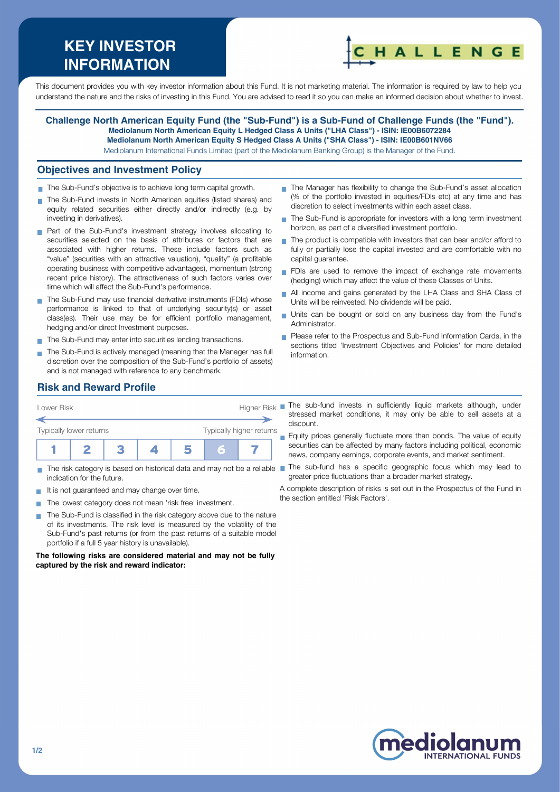# **KEY INVESTOR INFORMATION**



This document provides you with key investor information about this Fund. It is not marketing material. The information is required by law to help you understand the nature and the risks of investing in this Fund. You are advised to read it so you can make an informed decision about whether to invest.

**Challenge North American Equity Fund (the "Sub-Fund") is a Sub-Fund of Challenge Funds (the "Fund"). Mediolanum North American Equity L Hedged Class A Units ("LHA Class") - ISIN: IE00B6072284 Mediolanum North American Equity S Hedged Class A Units ("SHA Class") - ISIN: IE00B601NV66** Mediolanum International Funds Limited (part of the Mediolanum Banking Group) is the Manager of the Fund.

#### **Objectives and Investment Policy**

- The Sub-Fund's objective is to achieve long term capital growth.
- The Sub-Fund invests in North American equities (listed shares) and equity related securities either directly and/or indirectly (e.g. by investing in derivatives).
- **Part of the Sub-Fund's investment strategy involves allocating to** securities selected on the basis of attributes or factors that are associated with higher returns. These include factors such as "value" (securities with an attractive valuation), "quality" (a profitable operating business with competitive advantages), momentum (strong recent price history). The attractiveness of such factors varies over time which will affect the Sub-Fund's performance.
- The Sub-Fund may use financial derivative instruments (FDIs) whose performance is linked to that of underlying security(s) or asset class(es). Their use may be for efficient portfolio management, hedging and/or direct Investment purposes.
- The Sub-Fund may enter into securities lending transactions.
- The Sub-Fund is actively managed (meaning that the Manager has full discretion over the composition of the Sub-Fund's portfolio of assets) and is not managed with reference to any benchmark.
- The Manager has flexibility to change the Sub-Fund's asset allocation (% of the portfolio invested in equities/FDIs etc) at any time and has discretion to select investments within each asset class.
- The Sub-Fund is appropriate for investors with a long term investment  $\overline{\phantom{a}}$ horizon, as part of a diversified investment portfolio.
- $\blacksquare$  The product is compatible with investors that can bear and/or afford to fully or partially lose the capital invested and are comfortable with no capital guarantee.
- FDIs are used to remove the impact of exchange rate movements (hedging) which may affect the value of these Classes of Units.
- All income and gains generated by the LHA Class and SHA Class of  $\overline{\phantom{a}}$ Units will be reinvested. No dividends will be paid.
- Units can be bought or sold on any business day from the Fund's Administrator.
- **Please refer to the Prospectus and Sub-Fund Information Cards, in the** sections titled 'Investment Objectives and Policies' for more detailed information.

# **Risk and Reward Profile**



- indication for the future.
- It is not quaranteed and may change over time.
- The lowest category does not mean 'risk free' investment.  $\mathcal{L}_{\mathcal{A}}$
- The Sub-Fund is classified in the risk category above due to the nature **T** of its investments. The risk level is measured by the volatility of the Sub-Fund's past returns (or from the past returns of a suitable model portfolio if a full 5 year history is unavailable).

**The following risks are considered material and may not be fully captured by the risk and reward indicator:**

stressed market conditions, it may only be able to sell assets at a discount.

**Equity prices generally fluctuate more than bonds. The value of equity** securities can be affected by many factors including political, economic news, company earnings, corporate events, and market sentiment.

- The risk category is based on historical data and may not be a reliable The sub-fund has a specific geographic focus which may lead to greater price fluctuations than a broader market strategy.
	- A complete description of risks is set out in the Prospectus of the Fund in the section entitled 'Risk Factors'.